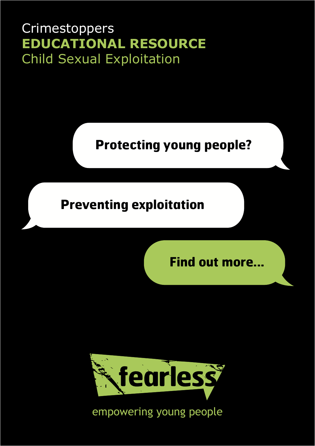# **Crimestoppers EDUCATIONAL RESOURCE** Child Sexual Exploitation

**Protecting young people?**

# **Preventing exploitation**

**Find out more...**



empowering young people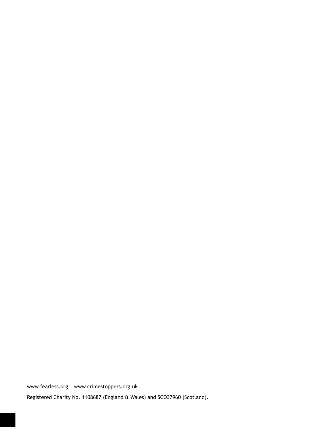www.fearless.org | www.crimestoppers.org.uk

Registered Charity No. 1108687 (England & Wales) and SCO37960 (Scotland).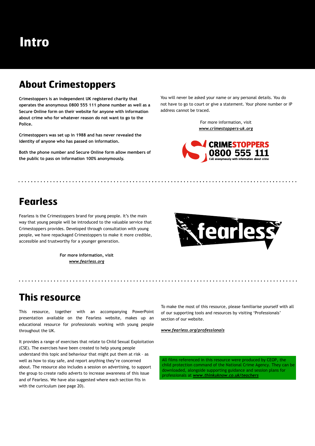# **About Crimestoppers**

**Crimestoppers is an independent UK registered charity that operates the anonymous 0800 555 111 phone number as well as a Secure Online form on their website for anyone with information about crime who for whatever reason do not want to go to the Police.**

**Crimestoppers was set up in 1988 and has never revealed the identity of anyone who has passed on information.**

**Both the phone number and Secure Online form allow members of the public to pass on information 100% anonymously.** 

You will never be asked your name or any personal details. You do not have to go to court or give a statement. Your phone number or IP address cannot be traced.

> For more information, visit *www.crimestoppers-uk.org*



# **Fearless**

Fearless is the Crimestoppers brand for young people. It's the main way that young people will be introduced to the valuable service that Crimestoppers provides. Developed through consultation with young people, we have repackaged Crimestoppers to make it more credible, accessible and trustworthy for a younger generation.

> **For more information, visit**  *www.fearless.org*



# **This resource**

This resource, together with an accompanying PowerPoint presentation available on the Fearless website, makes up an educational resource for professionals working with young people throughout the UK.

It provides a range of exercises that relate to Child Sexual Exploitation (CSE). The exercises have been created to help young people understand this topic and behaviour that might put them at risk – as well as how to stay safe, and report anything they're concerned about. The resource also includes a session on advertising, to support the group to create radio adverts to increase awareness of this issue and of Fearless. We have also suggested where each section fits in with the curriculum (see page 20).

To make the most of this resource, please familiarise yourself with all of our supporting tools and resources by visiting 'Professionals' section of our website.

*www.fearless.org/professionals*

All films referenced in this resource were produced by CEOP, the child protection command of the National Crime Agency. They can be downloaded, alongside supporting guidance and session plans for professionals at *www.thinkuknow.co.uk/teachers*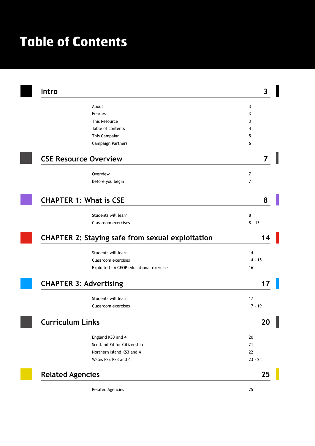# **Table of Contents**

| Intro                   |                                                         | 3              |
|-------------------------|---------------------------------------------------------|----------------|
|                         | About                                                   | 3              |
|                         | <b>Fearless</b>                                         | 3              |
|                         | This Resource                                           | 3              |
|                         | Table of contents                                       | 4              |
|                         | This Campaign                                           | 5              |
|                         | Campaign Partners                                       | 6              |
|                         | <b>CSE Resource Overview</b>                            |                |
|                         | Overview                                                | $\overline{7}$ |
|                         | Before you begin                                        | 7              |
|                         | <b>CHAPTER 1: What is CSE</b>                           | 8              |
|                         |                                                         |                |
|                         | Students will learn<br>Classroom exercises              | 8<br>$8 - 13$  |
|                         |                                                         |                |
|                         | <b>CHAPTER 2: Staying safe from sexual exploitation</b> |                |
|                         | Students will learn                                     | 14             |
|                         | Classroom exercises                                     | $14 - 15$      |
|                         | Exploited - A CEOP educational exercise                 | 16             |
|                         | <b>CHAPTER 3: Advertising</b>                           |                |
|                         | Students will learn                                     | 17             |
|                         | Classroom exercises                                     | $17 - 19$      |
| <b>Curriculum Links</b> |                                                         | 20             |
|                         | England KS3 and 4                                       | 20             |
|                         | Scotland Ed for Citizenship                             | 21             |
|                         | Northern Island KS3 and 4                               | 22             |
|                         |                                                         |                |
|                         | Wales PSE KS3 and 4                                     | $23 - 24$      |
|                         |                                                         | 25             |
| <b>Related Agencies</b> | <b>Related Agencies</b>                                 | 25             |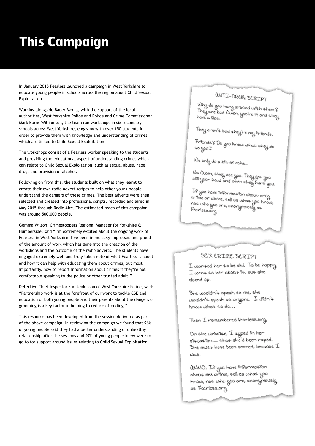# **This Campaign**

In January 2015 Fearless launched a campaign in West Yorkshire to educate young people in schools across the region about Child Sexual Exploitation.

Working alongside Bauer Media, with the support of the local authorities, West Yorkshire Police and Police and Crime Commissioner, Mark Burns-Williamson, the team ran workshops in six secondary schools across West Yorkshire, engaging with over 150 students in order to provide them with knowledge and understanding of crimes which are linked to Child Sexual Exploitation.

The workshops consist of a Fearless worker speaking to the students and providing the educational aspect of understanding crimes which can relate to Child Sexual Exploitation, such as sexual abuse, rape, drugs and provision of alcohol.

Following on from this, the students built on what they learnt to create their own radio advert scripts to help other young people understand the dangers of these crimes. The best adverts were then selected and created into professional scripts, recorded and aired in May 2015 through Radio Aire. The estimated reach of this campaign was around 500,000 people.

Gemma Wilson, Crimestoppers Regional Manager for Yorkshire & Humberside, said "I'm extremely excited about the ongoing work of Fearless in West Yorkshire. I've been immensely impressed and proud of the amount of work which has gone into the creation of the workshops and the outcome of the radio adverts. The students have engaged extremely well and truly taken note of what Fearless is about and how it can help with educating them about crimes, but most importantly, how to report information about crimes if they're not comfortable speaking to the police or other trusted adult."

Detective Chief Inspector Sue Jenkinson of West Yorkshire Police, said: "Partnership work is at the forefront of our work to tackle CSE and education of both young people and their parents about the dangers of grooming is a key factor in helping to reduce offending."

This resource has been developed from the session delivered as part of the above campaign. In reviewing the campaign we found that 96% of young people said they had a better understanding of unhealthy relationship after the sessions and 97% of young people knew were to go to for support around issues relating to Child Sexual Exploitation.

# aNTI-DRUG SCRIPT

Why do you hang around with them?<br>They are bad Oran was set They are bad Owen, you're 14 and them?<br>They are bad Owen, you're 14 and they<br>have a Plat. have a Plat.

They aren't bad they're my Priends.

.<br>Friends & Do you know what they do<br>to you ? 40 you 8

We only do a bi4 of cohe...

No Owen, ¢hey use you. They ge¢ you<br>oPP your head and ¢hen ¢hey hur¢ you.

If you have information about drug<br>erime or abuse dell us of - gou nave information about drug<br>erfine or abuse, tell us what you know,<br>not who use are arrow not who you are, anonymously as Fearless.org

### SEX CRIME SCRIPT

I wanted her to be olt to be happy I went to her about 94, but she closed up.

She wouldn't speak to me, she wouldn't speak to anyone. I didn't  $h$ now what to do...

Then I remembered Pearless.org

On the website, I typed in her siquaqion ... that she'd been raped. She mus4 have been scared, because  ${\mathcal{I}}$  $\omega$ as.

aNNO: If you have information about sex crime, tell us what you know, not who you are, anonymously. at Fearless.org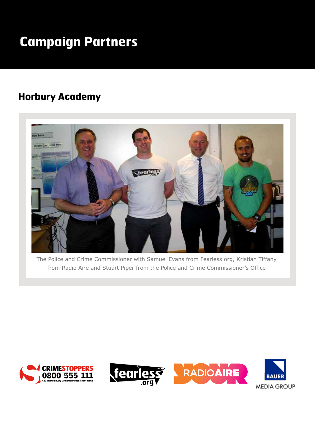# **Campaign Partners**

# **Horbury Academy**



The Police and Crime Commissioner with Samuel Evans from Fearless.org, Kristian Tiffany from Radio Aire and Stuart Piper from the Police and Crime Commissioner's Office



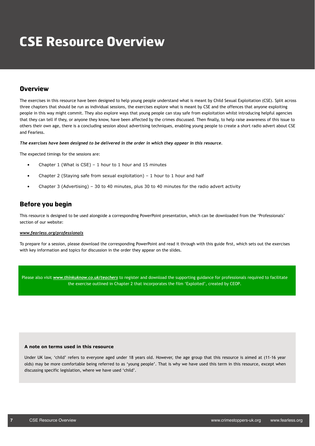# **CSE Resource Overview**

### **Overview**

The exercises in this resource have been designed to help young people understand what is meant by Child Sexual Exploitation (CSE). Split across three chapters that should be run as individual sessions, the exercises explore what is meant by CSE and the offences that anyone exploiting people in this way might commit. They also explore ways that young people can stay safe from exploitation whilst introducing helpful agencies that they can tell if they, or anyone they know, have been affected by the crimes discussed. Then finally, to help raise awareness of this issue to others their own age, there is a concluding session about advertising techniques, enabling young people to create a short radio advert about CSE and Fearless.

*The exercises have been designed to be delivered in the order in which they appear in this resource.*

The expected timings for the sessions are:

- Chapter 1 (What is CSE) 1 hour to 1 hour and 15 minutes
- Chapter 2 (Staving safe from sexual exploitation) 1 hour to 1 hour and half
- Chapter 3 (Advertising) 30 to 40 minutes, plus 30 to 40 minutes for the radio advert activity

## **Before you begin**

This resource is designed to be used alongside a corresponding PowerPoint presentation, which can be downloaded from the 'Professionals' section of our website:

#### *www.fearless.org/professionals*

To prepare for a session, please download the corresponding PowerPoint and read it through with this guide first, which sets out the exercises with key information and topics for discussion in the order they appear on the slides.

Please also visit *www.thinkuknow.co.uk/teachers* to register and download the supporting guidance for professionals required to facilitate the exercise outlined in Chapter 2 that incorporates the film 'Exploited', created by CEOP.

#### **A note on terms used in this resource**

Under UK law, 'child' refers to everyone aged under 18 years old. However, the age group that this resource is aimed at (11-16 year olds) may be more comfortable being referred to as 'young people'. That is why we have used this term in this resource, except when discussing specific legislation, where we have used 'child'.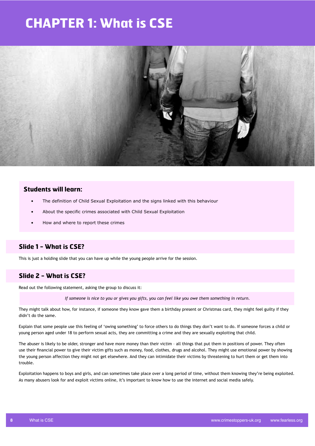# **CHAPTER 1: What is CSE**



### **Students will learn:**

- The definition of Child Sexual Exploitation and the signs linked with this behaviour
- About the specific crimes associated with Child Sexual Exploitation
- How and where to report these crimes

## **Slide 1 - What is CSE?**

This is just a holding slide that you can have up while the young people arrive for the session.

## **Slide 2 - What is CSE?**

Read out the following statement, asking the group to discuss it:

*If someone is nice to you or gives you gifts, you can feel like you owe them something in return.*

They might talk about how, for instance, if someone they know gave them a birthday present or Christmas card, they might feel guilty if they didn't do the same.

Explain that some people use this feeling of 'owing something' to force others to do things they don't want to do. If someone forces a child or young person aged under 18 to perform sexual acts, they are committing a crime and they are sexually exploiting that child.

The abuser is likely to be older, stronger and have more money than their victim – all things that put them in positions of power. They often use their financial power to give their victim gifts such as money, food, clothes, drugs and alcohol. They might use emotional power by showing the young person affection they might not get elsewhere. And they can intimidate their victims by threatening to hurt them or get them into trouble.

Exploitation happens to boys and girls, and can sometimes take place over a long period of time, without them knowing they're being exploited. As many abusers look for and exploit victims online, it's important to know how to use the internet and social media safely.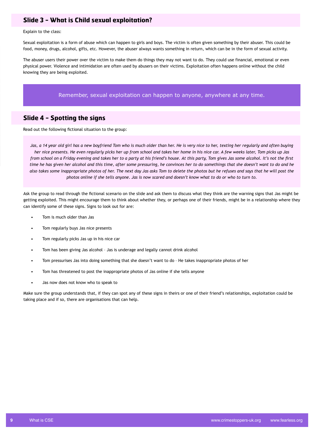### **Slide 3 - What is Child sexual exploitation?**

Explain to the class:

Sexual exploitation is a form of abuse which can happen to girls and boys. The victim is often given something by their abuser. This could be food, money, drugs, alcohol, gifts, etc. However, the abuser always wants something in return, which can be in the form of sexual activity.

The abuser users their power over the victim to make them do things they may not want to do. They could use financial, emotional or even physical power. Violence and intimidation are often used by abusers on their victims. Exploitation often happens online without the child knowing they are being exploited.

Remember, sexual exploitation can happen to anyone, anywhere at any time.

## **Slide 4 - Spotting the signs**

Read out the following fictional situation to the group:

Jas, a 14 year old girl has a new boyfriend Tom who is much older than her. He is very nice to her, texting her regularly and often buying *her nice presents. He even regularly picks her up from school and takes her home in his nice car. A few weeks later, Tom picks up Jas from school on a Friday evening and takes her to a party at his friend's house. At this party, Tom gives Jas some alcohol. It's not the first time he has given her alcohol and this time, after some pressuring, he convinces her to do somethings that she doesn't want to do and he also takes some inappropriate photos of her. The next day Jas asks Tom to delete the photos but he refuses and says that he will post the photos online if she tells anyone. Jas is now scared and doesn't know what to do or who to turn to.*

Ask the group to read through the fictional scenario on the slide and ask them to discuss what they think are the warning signs that Jas might be getting exploited. This might encourage them to think about whether they, or perhaps one of their friends, might be in a relationship where they can identify some of these signs. Signs to look out for are:

- Tom is much older than Jas
- Tom regularly buys Jas nice presents
- Tom regularly picks Jas up in his nice car
- Tom has been giving Jas alcohol Jas is underage and legally cannot drink alcohol
- Tom pressurises Jas into doing something that she doesn't want to do He takes inappropriate photos of her
- Tom has threatened to post the inappropriate photos of Jas online if she tells anyone
- Jas now does not know who to speak to

Make sure the group understands that, if they can spot any of these signs in theirs or one of their friend's relationships, exploitation could be taking place and if so, there are organisations that can help.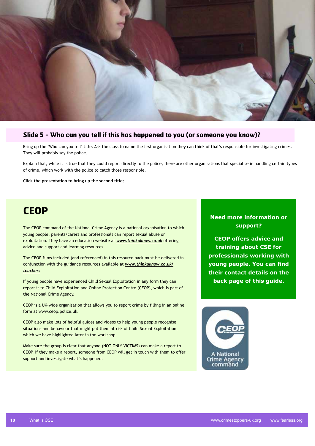

### **Slide 5 - Who can you tell if this has happened to you (or someone you know)?**

Bring up the 'Who can you tell' title. Ask the class to name the first organisation they can think of that's responsible for investigating crimes. They will probably say the police.

Explain that, while it is true that they could report directly to the police, there are other organisations that specialise in handling certain types of crime, which work with the police to catch those responsible.

**Click the presentation to bring up the second title:**

# **CEOP**

The CEOP command of the National Crime Agency is a national organisation to which young people, parents/carers and professionals can report sexual abuse or exploitation. They have an education website at *www.thinkuknow.co.uk* offering advice and support and learning resources.

The CEOP films included (and referenced) in this resource pack must be delivered in conjunction with the guidance resources available at *www.thinkuknow.co.uk/ teachers*

If young people have experienced Child Sexual Exploitation in any form they can report it to Child Exploitation and Online Protection Centre (CEOP), which is part of the National Crime Agency.

CEOP is a UK-wide organisation that allows you to report crime by filling in an online form at www.ceop.police.uk.

CEOP also make lots of helpful guides and videos to help young people recognise situations and behaviour that might put them at risk of Child Sexual Exploitation, which we have highlighted later in the workshop.

Make sure the group is clear that anyone (NOT ONLY VICTIMS) can make a report to CEOP. If they make a report, someone from CEOP will get in touch with them to offer support and investigate what's happened.

## **Need more information or support?**

**CEOP offers advice and training about CSE for professionals working with young people. You can find their contact details on the back page of this guide.**

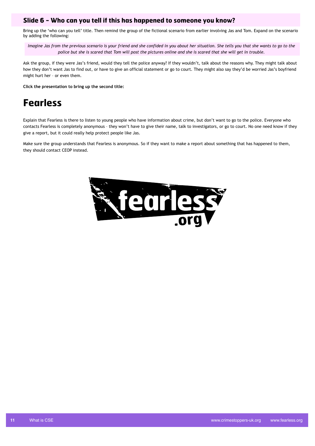### **Slide 6 - Who can you tell if this has happened to someone you know?**

Bring up the 'who can you tell' title. Then remind the group of the fictional scenario from earlier involving Jas and Tom. Expand on the scenario by adding the following:

*Imagine Jas from the previous scenario is your friend and she confided in you about her situation. She tells you that she wants to go to the police but she is scared that Tom will post the pictures online and she is scared that she will get in trouble.*

Ask the group, if they were Jas's friend, would they tell the police anyway? If they wouldn't, talk about the reasons why. They might talk about how they don't want Jas to find out, or have to give an official statement or go to court. They might also say they'd be worried Jas's boyfriend might hurt her – or even them.

**Click the presentation to bring up the second title:**

# **Fearless**

Explain that Fearless is there to listen to young people who have information about crime, but don't want to go to the police. Everyone who contacts Fearless is completely anonymous – they won't have to give their name, talk to investigators, or go to court. No one need know if they give a report, but it could really help protect people like Jas.

Make sure the group understands that Fearless is anonymous. So if they want to make a report about something that has happened to them, they should contact CEOP instead.

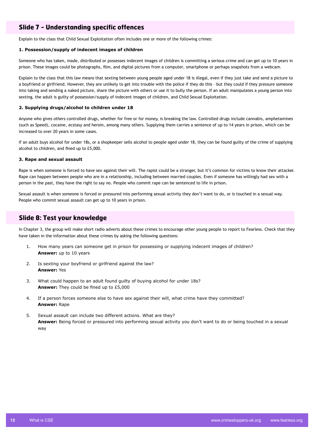## **Slide 7 - Understanding specific offences**

Explain to the class that Child Sexual Exploitation often includes one or more of the following crimes:

### **1. Possession/supply of indecent images of children**

Someone who has taken, made, distributed or possesses indecent images of children is committing a serious crime and can get up to 10 years in prison. These images could be photographs, film, and digital pictures from a computer, smartphone or perhaps snapshots from a webcam.

Explain to the class that this law means that sexting between young people aged under 18 is illegal, even if they just take and send a picture to a boyfriend or girlfriend. However, they are unlikely to get into trouble with the police if they do this – but they could if they pressure someone into taking and sending a naked picture, share the picture with others or use it to bully the person. If an adult manipulates a young person into sexting, the adult is guilty of possession/supply of indecent images of children, and Child Sexual Exploitation.

### **2. Supplying drugs/alcohol to children under 18**

Anyone who gives others controlled drugs, whether for free or for money, is breaking the law. Controlled drugs include cannabis, amphetamines (such as Speed), cocaine, ecstasy and heroin, among many others. Supplying them carries a sentence of up to 14 years in prison, which can be increased to over 20 years in some cases.

If an adult buys alcohol for under 18s, or a shopkeeper sells alcohol to people aged under 18, they can be found guilty of the crime of supplying alcohol to children, and fined up to £5,000.

### **3. Rape and sexual assault**

Rape is when someone is forced to have sex against their will. The rapist could be a stranger, but it's common for victims to know their attacker. Rape can happen between people who are in a relationship, including between married couples. Even if someone has willingly had sex with a person in the past, they have the right to say no. People who commit rape can be sentenced to life in prison.

Sexual assault is when someone is forced or pressured into performing sexual activity they don't want to do, or is touched in a sexual way. People who commit sexual assault can get up to 10 years in prison.

### **Slide 8: Test your knowledge**

In Chapter 3, the group will make short radio adverts about these crimes to encourage other young people to report to Fearless. Check that they have taken in the information about these crimes by asking the following questions:

- 1. How many years can someone get in prison for possessing or supplying indecent images of children? **Answer:** up to 10 years
- 2. Is sexting your boyfriend or girlfriend against the law? **Answer:** Yes
- 3. What could happen to an adult found guilty of buying alcohol for under 18s? **Answer:** They could be fined up to £5,000
- 4. If a person forces someone else to have sex against their will, what crime have they committed? **Answer:** Rape
- 5. Sexual assault can include two different actions. What are they? **Answer:** Being forced or pressured into performing sexual activity you don't want to do or being touched in a sexual way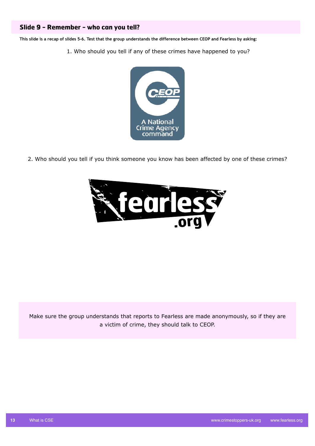## **Slide 9 - Remember - who can you tell?**

**This slide is a recap of slides 5-6. Test that the group understands the difference between CEOP and Fearless by asking:**

1. Who should you tell if any of these crimes have happened to you?



2. Who should you tell if you think someone you know has been affected by one of these crimes?



Make sure the group understands that reports to Fearless are made anonymously, so if they are a victim of crime, they should talk to CEOP.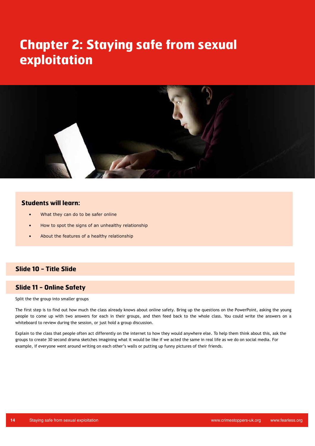# **Chapter 2: Staying safe from sexual exploitation**



### **Students will learn:**

- What they can do to be safer online
- How to spot the signs of an unhealthy relationship
- About the features of a healthy relationship

### **Slide 10 - Title Slide**

### **Slide 11 - Online Safety**

Split the the group into smaller groups

The first step is to find out how much the class already knows about online safety. Bring up the questions on the PowerPoint, asking the young people to come up with two answers for each in their groups, and then feed back to the whole class. You could write the answers on a whiteboard to review during the session, or just hold a group discussion.

Explain to the class that people often act differently on the internet to how they would anywhere else. To help them think about this, ask the groups to create 30 second drama sketches imagining what it would be like if we acted the same in real life as we do on social media. For example, if everyone went around writing on each other's walls or putting up funny pictures of their friends.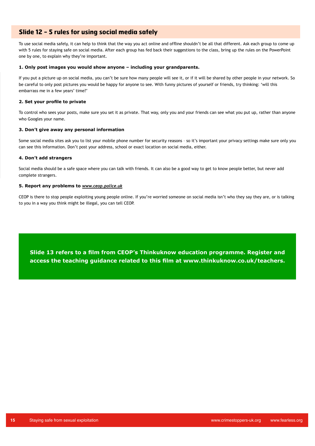### **Slide 12 - 5 rules for using social media safely**

To use social media safely, it can help to think that the way you act online and offline shouldn't be all that different. Ask each group to come up with 5 rules for staying safe on social media. After each group has fed back their suggestions to the class, bring up the rules on the PowerPoint one by one, to explain why they're important.

### **1. Only post images you would show anyone – including your grandparents.**

If you put a picture up on social media, you can't be sure how many people will see it, or if it will be shared by other people in your network. So be careful to only post pictures you would be happy for anyone to see. With funny pictures of yourself or friends, try thinking: 'will this embarrass me in a few years' time?'

### **2. Set your profile to private**

To control who sees your posts, make sure you set it as private. That way, only you and your friends can see what you put up, rather than anyone who Googles your name.

### **3. Don't give away any personal information**

Some social media sites ask you to list your mobile phone number for security reasons – so it's important your privacy settings make sure only you can see this information. Don't post your address, school or exact location on social media, either.

### **4. Don't add strangers**

Social media should be a safe space where you can talk with friends. It can also be a good way to get to know people better, but never add complete strangers.

### **5. Report any problems to** *www.ceop.police.uk*

CEOP is there to stop people exploiting young people online. If you're worried someone on social media isn't who they say they are, or is talking to you in a way you think might be illegal, you can tell CEOP.

**Slide 13 refers to a film from CEOP's Thinkuknow education programme. Register and access the teaching guidance related to this film at www.thinkuknow.co.uk/teachers.**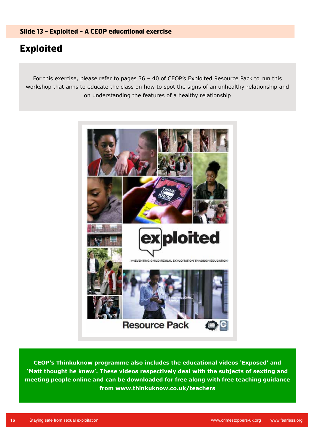# **Exploited**

For this exercise, please refer to pages 36 – 40 of CEOP's Exploited Resource Pack to run this workshop that aims to educate the class on how to spot the signs of an unhealthy relationship and on understanding the features of a healthy relationship



**CEOP's Thinkuknow programme also includes the educational videos 'Exposed' and 'Matt thought he knew'. These videos respectively deal with the subjects of sexting and meeting people online and can be downloaded for free along with free teaching guidance from www.thinkuknow.co.uk/teachers**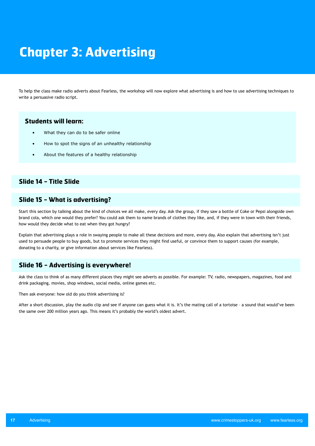# **Chapter 3: Advertising**

To help the class make radio adverts about Fearless, the workshop will now explore what advertising is and how to use advertising techniques to write a persuasive radio script.

## **Students will learn:**

- What they can do to be safer online
- How to spot the signs of an unhealthy relationship
- About the features of a healthy relationship

### **Slide 14 - Title Slide**

## **Slide 15 - What is advertising?**

Start this section by talking about the kind of choices we all make, every day. Ask the group, if they saw a bottle of Coke or Pepsi alongside own brand cola, which one would they prefer? You could ask them to name brands of clothes they like, and, if they were in town with their friends, how would they decide what to eat when they got hungry?

Explain that advertising plays a role in swaying people to make all these decisions and more, every day. Also explain that advertising isn't just used to persuade people to buy goods, but to promote services they might find useful, or convince them to support causes (for example, donating to a charity, or give information about services like Fearless).

### **Slide 16 - Advertising is everywhere!**

Ask the class to think of as many different places they might see adverts as possible. For example: TV, radio, newspapers, magazines, food and drink packaging, movies, shop windows, social media, online games etc.

Then ask everyone: how old do you think advertising is?

After a short discussion, play the audio clip and see if anyone can guess what it is. It's the mating call of a tortoise – a sound that would've been the same over 200 million years ago. This means it's probably the world's oldest advert.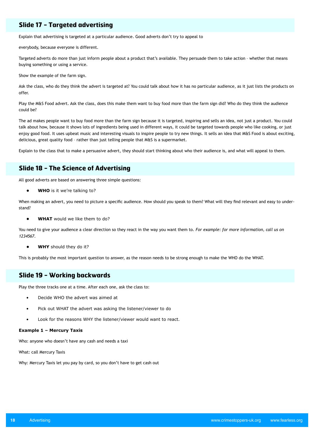## **Slide 17 - Targeted advertising**

Explain that advertising is targeted at a particular audience. Good adverts don't try to appeal to

everybody, because everyone is different.

Targeted adverts do more than just inform people about a product that's available. They persuade them to take action – whether that means buying something or using a service.

Show the example of the farm sign.

Ask the class, who do they think the advert is targeted at? You could talk about how it has no particular audience, as it just lists the products on offer.

Play the M&S Food advert. Ask the class, does this make them want to buy food more than the farm sign did? Who do they think the audience could be?

The ad makes people want to buy food more than the farm sign because it is targeted, inspiring and sells an idea, not just a product. You could talk about how, because it shows lots of ingredients being used in different ways, it could be targeted towards people who like cooking, or just enjoy good food. It uses upbeat music and interesting visuals to inspire people to try new things. It sells an idea that M&S Food is about exciting, delicious, great quality food – rather than just telling people that M&S is a supermarket.

Explain to the class that to make a persuasive advert, they should start thinking about who their audience is, and what will appeal to them.

### **Slide 18 - The Science of Advertising**

All good adverts are based on answering three simple questions:

**• WHO** is it we're talking to?

When making an advert, you need to picture a specific audience. How should you speak to them? What will they find relevant and easy to understand?

**• WHAT** would we like them to do?

You need to give your audience a clear direction so they react in the way you want them to. *For example: for more information, call us on 1234567.*

**• WHY** should they do it?

This is probably the most important question to answer, as the reason needs to be strong enough to make the WHO do the WHAT.

### **Slide 19 - Working backwards**

Play the three tracks one at a time. After each one, ask the class to:

- Decide WHO the advert was aimed at
- Pick out WHAT the advert was asking the listener/viewer to do
- Look for the reasons WHY the listener/viewer would want to react.

#### **Example 1 – Mercury Taxis**

Who: anyone who doesn't have any cash and needs a taxi

What: call Mercury Taxis

Why: Mercury Taxis let you pay by card, so you don't have to get cash out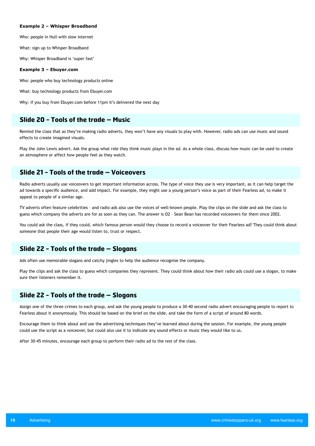#### **Example 2 – Whisper Broadband**

Who: people in Hull with slow internet

What: sign up to Whisper Broadband

Why: Whisper Broadband is 'super fast'

#### **Example 3 – Ebuyer.com**

Who: people who buy technology products online

What: buy technology products from Ebuyer.com

Why: if you buy from Ebuyer.com before 11pm it's delivered the next day

### **Slide 20 - Tools of the trade – Music**

Remind the class that as they're making radio adverts, they won't have any visuals to play with. However, radio ads can use music and sound effects to create imagined visuals.

Play the John Lewis advert. Ask the group what role they think music plays in the ad. As a whole class, discuss how music can be used to create an atmosphere or affect how people feel as they watch.

## **Slide 21 - Tools of the trade – Voiceovers**

Radio adverts usually use voiceovers to get important information across. The type of voice they use is very important, as it can help target the ad towards a specific audience, and add impact. For example, they might use a young person's voice as part of their Fearless ad, to make it appeal to people of a similar age.

TV adverts often feature celebrities – and radio ads also use the voices of well-known people. Play the clips on the slide and ask the class to guess which company the adverts are for as soon as they can. The answer is O2 – Sean Bean has recorded voiceovers for them since 2002.

You could ask the class, if they could, which famous person would they choose to record a voiceover for their Fearless ad? They could think about someone that people their age would listen to, trust or respect.

### **Slide 22 - Tools of the trade – Slogans**

Ads often use memorable slogans and catchy jingles to help the audience recognise the company.

Play the clips and ask the class to guess which companies they represent. They could think about how their radio ads could use a slogan, to make sure their listeners remember it.

### **Slide 22 - Tools of the trade – Slogans**

Assign one of the three crimes to each group, and ask the young people to produce a 30-40 second radio advert encouraging people to report to Fearless about it anonymously. This should be based on the brief on the slide, and take the form of a script of around 80 words.

Encourage them to think about and use the advertising techniques they've learned about during the session. For example, the young people could use the script as a voiceover, but could also use it to indicate any sound effects or music they would like to us.

After 30-45 minutes, encourage each group to perform their radio ad to the rest of the class.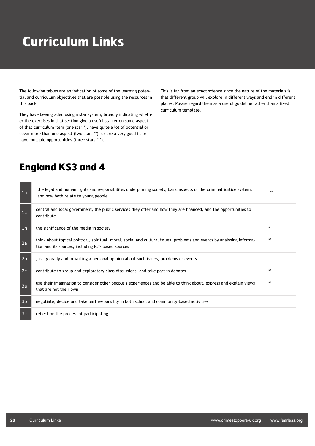# **Curriculum Links**

The following tables are an indication of some of the learning potential and curriculum objectives that are possible using the resources in this pack.

They have been graded using a star system, broadly indicating whether the exercises in that section give a useful starter on some aspect of that curriculum item (one star \*), have quite a lot of potential or cover more than one aspect (two stars \*\*), or are a very good fit or have multiple opportunities (three stars \*\*\*).

This is far from an exact science since the nature of the materials is that different group will explore in different ways and end in different places. Please regard them as a useful guideline rather than a fixed curriculum template.

# **England KS3 and 4**

| 1a             | the legal and human rights and responsibilites underpinning society, basic aspects of the criminal justice system,<br>and how both relate to young people                    | $**$    |
|----------------|------------------------------------------------------------------------------------------------------------------------------------------------------------------------------|---------|
| 1c             | central and local government, the public services they offer and how they are financed, and the opportunities to<br>contribute                                               |         |
| 1h             | the significance of the media in society                                                                                                                                     | $\star$ |
| 2a             | think about topical political, spiritual, moral, social and cultural issues, problems and events by analysing informa-<br>tion and its sources, including ICT- based sources | $**$    |
| 2 <sub>b</sub> | justify orally and in writing a personal opinion about such issues, problems or events                                                                                       |         |
| 2c             | contribute to group and exploratory class discussions, and take part in debates                                                                                              | **      |
| 3a             | use their imagination to consider other people's experiences and be able to think about, express and explain views<br>that are not their own                                 | **      |
| 3 <sub>b</sub> | negotiate, decide and take part responsibly in both school and community-based activities                                                                                    |         |
| 3c             | reflect on the process of participating                                                                                                                                      |         |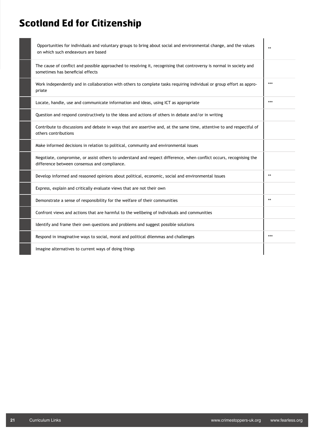# **Scotland Ed for Citizenship**

| Opportunities for individuals and voluntary groups to bring about social and environmental change, and the values<br>on which such endeavours are based             | $**$ |
|---------------------------------------------------------------------------------------------------------------------------------------------------------------------|------|
| The cause of conflict and possible approached to resolving it, recognising that controversy is normal in society and<br>sometimes has beneficial effects            |      |
| Work independently and in collaboration with others to complete tasks requiring individual or group effort as appro-<br>priate                                      | ***  |
| Locate, handle, use and communicate information and ideas, using ICT as appropriate                                                                                 | ***  |
| Question and respond constructively to the ideas and actions of others in debate and/or in writing                                                                  |      |
| Contribute to discussions and debate in ways that are assertive and, at the same time, attentive to and respectful of<br>others contributions                       |      |
| Make informed decisions in relation to political, community and environmental issues                                                                                |      |
| Negotiate, compromise, or assist others to understand and respect difference, when conflict occurs, recognising the<br>difference between consensus and compliance. |      |
| Develop informed and reasoned opinions about political, economic, social and environmental issues                                                                   | $**$ |
| Express, explain and critically evaluate views that are not their own                                                                                               |      |
| Demonstrate a sense of responsibility for the welfare of their communities                                                                                          | $**$ |
| Confront views and actions that are harmful to the wellbeing of individuals and communities                                                                         |      |
| Identify and frame their own questions and problems and suggest possible solutions                                                                                  |      |
| Respond in imaginative ways to social, moral and political dilemmas and challenges                                                                                  | ***  |
| Imagine alternatives to current ways of doing things                                                                                                                |      |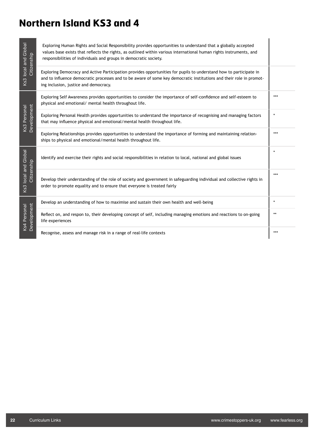# **Northern Island KS3 and 4**

| Ks3 local and Global<br>Citizenship    | Exploring Human Rights and Social Responsibility provides opportunities to understand that a globally accepted<br>values base exists that reflects the rights, as outlined within various international human rights instruments, and<br>responsibilities of individuals and groups in democratic society. |     |
|----------------------------------------|------------------------------------------------------------------------------------------------------------------------------------------------------------------------------------------------------------------------------------------------------------------------------------------------------------|-----|
|                                        | Exploring Democracy and Active Participation provides opportunities for pupils to understand how to participate in<br>and to influence democratic processes and to be aware of some key democratic institutions and their role in promot-<br>ing inclusion, justice and democracy.                         |     |
| Ks3 Personal<br>Development            | Exploring Self Awareness provides opportunities to consider the importance of self-confidence and self-esteem to<br>physical and emotional/ mental health throughout life.                                                                                                                                 | *** |
|                                        | Exploring Personal Health provides opportunities to understand the importance of recognising and managing factors<br>that may influence physical and emotional/mental health throughout life.                                                                                                              |     |
|                                        | Exploring Relationships provides opportunities to understand the importance of forming and maintaining relation-<br>ships to physical and emotional/mental health throughout life.                                                                                                                         | *** |
| local and Global<br>Citizenship<br>Ks3 | Identify and exercise their rights and social responsibilities in relation to local, national and global issues                                                                                                                                                                                            |     |
|                                        | Develop their understanding of the role of society and government in safeguarding individual and collective rights in<br>order to promote equality and to ensure that everyone is treated fairly                                                                                                           | *** |
| Ks4 Personal<br>Development            | Develop an understanding of how to maximise and sustain their own health and well-being                                                                                                                                                                                                                    |     |
|                                        | Reflect on, and respon to, their developing concept of self, including managing emotions and reactions to on-going<br>life experiences                                                                                                                                                                     | **  |
|                                        | Recognise, assess and manage risk in a range of real-life contexts                                                                                                                                                                                                                                         | *** |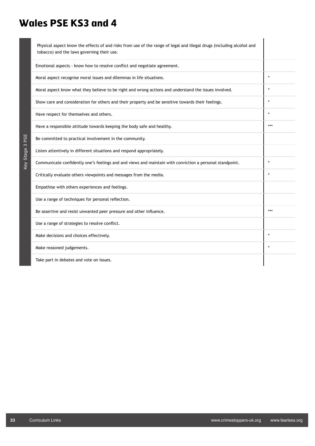# **Wales PSE KS3 and 4**

| Physical aspect know the effects of and risks from use of the range of legal and illegal drugs (including alcohol and<br>tobacco) and the laws governing their use. |         |
|---------------------------------------------------------------------------------------------------------------------------------------------------------------------|---------|
| Emotional aspects - know how to resolve conflict and negotiate agreement.                                                                                           |         |
| Moral aspect recognise moral issues and dilemmas in life situations.                                                                                                | $\star$ |
| Moral aspect know what they believe to be right and wrong actions and understand the issues involved.                                                               |         |
| Show care and consideration for others and their property and be sensitive towards their feelings.                                                                  |         |
| Have respect for themselves and others.                                                                                                                             |         |
| Have a responsible attitude towards keeping the body safe and healthy.                                                                                              | $***$   |
| Be committed to practical involvement in the community.                                                                                                             |         |
| Listen attentively in different situations and respond appropriately.                                                                                               |         |
| Communicate confidently one's feelings and and views and maintain with conviction a personal standpoint.                                                            | $\star$ |
| Critically evaluate others viewpoints and messages from the media.                                                                                                  |         |
| Empathise with others experiences and feelings.                                                                                                                     |         |
| Use a range of techniques for personal reflection.                                                                                                                  |         |
| Be assertive and resist unwanted peer pressure and other influence.                                                                                                 | $***$   |
| Use a range of strategies to resolve conflict.                                                                                                                      |         |
| Make decisions and choices effectively.                                                                                                                             | $\star$ |
| Make reasoned judgements.                                                                                                                                           |         |
| Take part in debates and vote on issues.                                                                                                                            |         |

Key Stage 3 PSE

Key Stage 3 PSE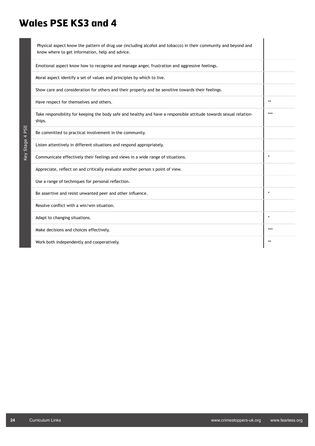# **Wales PSE KS3 and 4**

| Physical aspect know the pattern of drug use (including alcohol and tobacco) in their community and beyond and<br>know where to get information, help and advice. |         |
|-------------------------------------------------------------------------------------------------------------------------------------------------------------------|---------|
| Emotional aspect know how to recognise and manage anger, frustration and aggressive feelings.                                                                     |         |
| Moral aspect identify a set of values and principles by which to live.                                                                                            |         |
| Show care and consideration for others and their property and be sensitive towards their feelings.                                                                |         |
| Have respect for themselves and others.                                                                                                                           | $**$    |
| Take responsibility for keeping the body safe and healthy and have a responsible attitude towards sexual relation-<br>ships.                                      | ***     |
| Be committed to practical involvement in the community.                                                                                                           |         |
| Listen attentively in different situations and respond appropriately.                                                                                             |         |
| Communicate effectively their feelings and views in a wide range of situations.                                                                                   | $\star$ |
| Appreciate, reflect on and critically evaluate another person s point of view.                                                                                    |         |
| Use a range of techniques for personal reflection.                                                                                                                |         |
| Be assertive and resist unwanted peer and other influence.                                                                                                        |         |
| Resolve conflict with a win/win situation.                                                                                                                        |         |
| Adapt to changing situations.                                                                                                                                     | $\star$ |
| Make decisions and choices effectively.                                                                                                                           | ***     |
| Work both independently and cooperatively.                                                                                                                        | $**$    |

Key Stage 4 PSE

Key Stage 4 PSE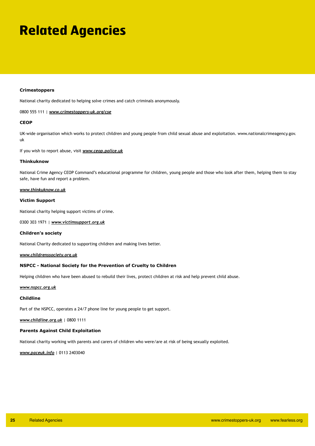# **Related Agencies**

### **Crimestoppers**

National charity dedicated to helping solve crimes and catch criminals anonymously.

#### 0800 555 111 | *www.crimestoppers-uk.org/cse*

### **CEOP**

UK-wide organisation which works to protect children and young people from child sexual abuse and exploitation. www.nationalcrimeagency.gov. uk

If you wish to report abuse, visit *www.ceop.police.uk*

### **Thinkuknow**

National Crime Agency CEOP Command's educational programme for children, young people and those who look after them, helping them to stay safe, have fun and report a problem.

#### *www.thinkuknow.co.uk*

### **Victim Support**

National charity helping support victims of crime.

0300 303 1971 | *www.victimsupport.org.uk*

#### **Children's society**

National Charity dedicated to supporting children and making lives better.

### *www.childrenssociety.org.uk*

#### **NSPCC - National Society for the Prevention of Cruelty to Children**

Helping children who have been abused to rebuild their lives, protect children at risk and help prevent child abuse.

### *www.nspcc.org.uk*

### **Childline**

Part of the NSPCC, operates a 24/7 phone line for young people to get support.

*www.childline.org.uk* | 0800 1111

#### **Parents Against Child Exploitation**

National charity working with parents and carers of children who were/are at risk of being sexually exploited.

*www.paceuk.info* | 0113 2403040